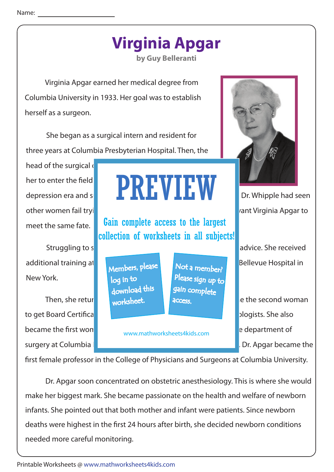## **Virginia Apgar**

**by Guy Belleranti**

 Virginia Apgar earned her medical degree from Columbia University in 1933. Her goal was to establish herself as a surgeon.

 She began as a surgical intern and resident for three years at Columbia Presbyterian Hospital. Then, the

head of the surgical  $\mathbf c$ other women fail trying to establish surgical practices. He did not want Virginia Apgar to meet the same fate.

additional training at the University of University of University of Bellevue Hospital in New York.

to get Board Certification from the American Society of Anesthesiologists. She also became the first won

## her to enter the field  $\begin{array}{ccc} \text{I} & \text{I} & \text{I} \end{array}$ depression era and surgery was a crowded, male dominated in the dominated in the dominated in the dominated in PREVIEW

Gain complete access to the largest collection of worksheets in all subjects!

Members, please download this worksheet. log in to

Not a member? gain complete Please sign up to **access** 

www.mathworksheets4kids.com



Struggling to support herself, Dr. Apple's advice. She received

Then, she returned to Columbia university. Here, she became the second woman surgery at Columbia Press, in the surgery at Columbia Press, in 1949, and in 1949, Dr. Apgar became the

first female professor in the College of Physicians and Surgeons at Columbia University.

 Dr. Apgar soon concentrated on obstetric anesthesiology. This is where she would make her biggest mark. She became passionate on the health and welfare of newborn infants. She pointed out that both mother and infant were patients. Since newborn deaths were highest in the first 24 hours after birth, she decided newborn conditions needed more careful monitoring.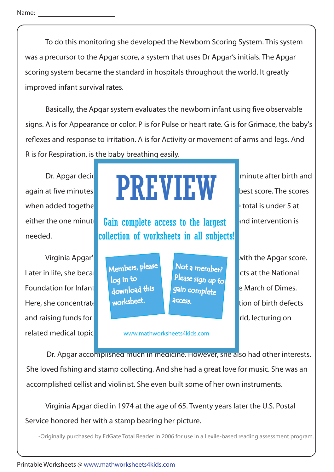To do this monitoring she developed the Newborn Scoring System. This system was a precursor to the Apgar score, a system that uses Dr Apgar's initials. The Apgar scoring system became the standard in hospitals throughout the world. It greatly improved infant survival rates.

Basically, the Apgar system evaluates the newborn infant using five observable signs. A is for Appearance or color. P is for Pulse or heart rate. G is for Grimace, the baby's reflexes and response to irritation. A is for Activity or movement of arms and legs. And R is for Respiration, is the baby breathing easily.

when added together can total a maximum of  $\mathbb{R}$  total is under 5 at needed.

Later in life, she became director of the director of the director of the distribution of congenitation of  $\mathbb{R}$ Foundation for Infantile Paralysis. This foundation for Infantile Paralysis. The March of Dimes. Here, she concentrate on  $\blacksquare$  worksheet.  $\blacksquare$  decess. and raising funds for continued research. She also traveled the world, lecturing on related medical topic

## Dr. Apgar decident to strategy showledged to show the signs showledged twice:  $\mathbf{r}$ again at five minutes. **Each of the sign is rate.**  $\blacksquare$  **E With 2** best score. The scores PREVIEW

either the one minute **Gain complete access to the largest** and intervention is collection of worksheets in all subjects!

> Members, please download this worksheet. log in to

Not a member? gain complete Please sign up to **access** 

Virginia Apgar's contribution to medical science didn't end with the Apgar score.

www.mathworksheets4kids.com

Dr. Apgar accomplished much in medicine. However, she also had other interests. She loved fishing and stamp collecting. And she had a great love for music. She was an accomplished cellist and violinist. She even built some of her own instruments.

 Virginia Apgar died in 1974 at the age of 65. Twenty years later the U.S. Postal Service honored her with a stamp bearing her picture.

-Originally purchased by EdGate Total Reader in 2006 for use in a Lexile-based reading assessment program.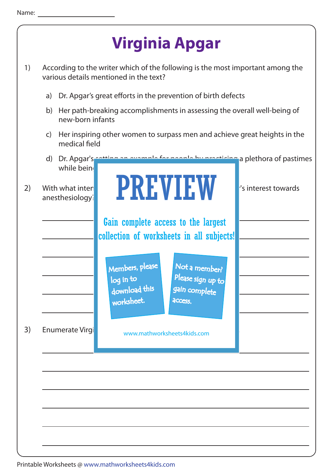



Printable Worksheets @ www.mathworksheets4kids.com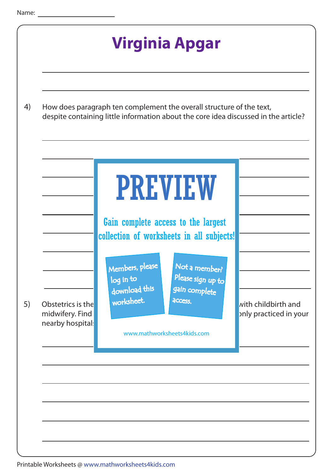

Printable Worksheets @ www.mathworksheets4kids.com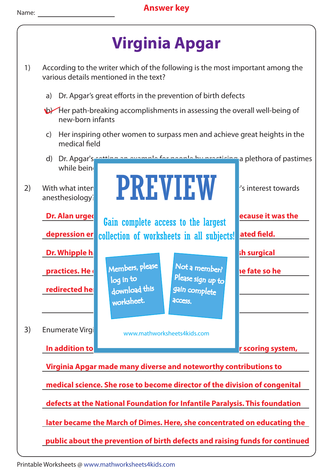